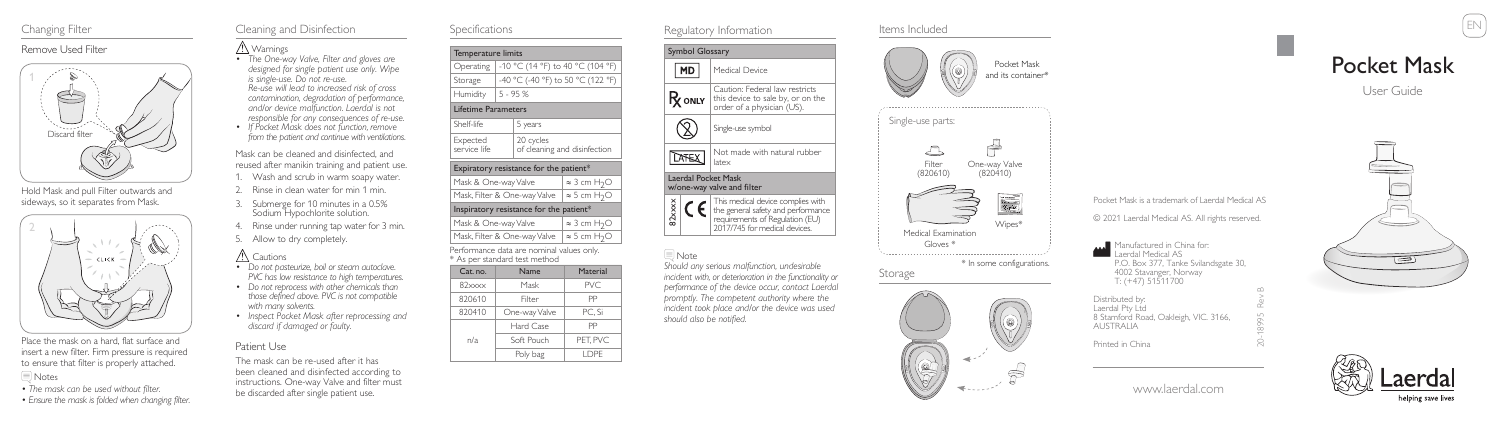## Remove Used Filter



Hold Mask and pull Filter outwards and sideways, so it separates from Mask.



Place the mask on a hard, flat surface and insert a new filter. Firm pressure is required to ensure that filter is properly attached. Note s

- *The mask can be used without filter.*
- *Ensure the mask is folded when changing filter.*

## Cleaning and Disinfection Changing Filter Specifications

## **△**Warnings *• The One-way Valve, Filter and gloves are*

*designed for single patient use only. Wipe is single-use. Do not re-use. Re-use will lead to increased risk of cross contamination, degradation of performance, and/or device malfunction. Laerdal is not responsible for any consequences of re-use. • If Pocket Mask does not function, remove* 

*from the patient and continue with ventilations.* Mask can be cleaned and disinfected, and reused after manikin training and patient use.

- Wash and scrub in warm soapy water. 2. Rinse in clean water for min 1 min.
- 3. Submerge for 10 minutes in a 0.5% Sodium Hypochlorite solution.
- 4. Rinse under running tap water for 3 min. Allow to dry completely.

# A Cautions

- *• Do not pasteurize, boil or steam autoclave. PVC has low resistance to high temperatures. • Do not reprocess with other chemicals than*
- *those defined above. PVC is not compatible with many solvents.*
- *• Inspect Pocket Mask after reprocessing and discard if damaged or faulty.*

# Patient Use

The mask can be re-used after it has been cleaned and disinfected according to instructions. One-way Valve and filter must be discarded after single patient use.





Soft Pouch PET, PVC Poly bag LDPE

n/a

 $2^{\circ}$ 

### Regulatory Information



*Should any serious malfunction, undesirable incident with, or deterioration in the functionality or performance of the device occur, contact Laerdal promptly. The competent authority where the incident took place and/or the device was used should also be notified.*



Items Included

# Pocket Mask

EN

User Guide





www.laerdal.com

Manufactured in China for: Laerdal Medical AS

8 Stamford Road, Oakleigh, VIC. 3166,

Distributed by: Laerdal Pty Ltd

AUSTRALIA Printed in China

P.O. Box 377, Tanke Svilandsgate 30, 4002 Stavanger, Norway T: (+47) 51511700